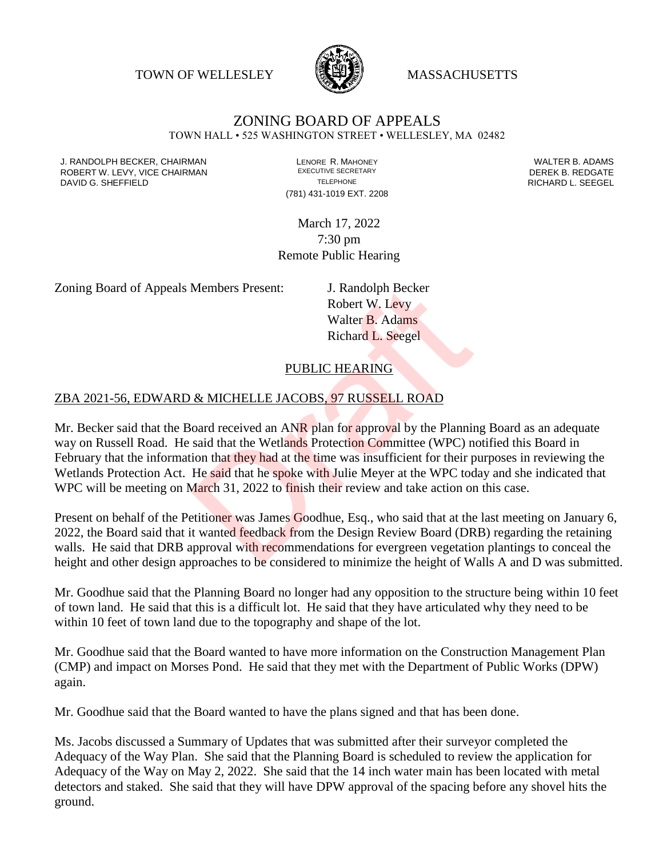TOWN OF WELLESLEY **WASSACHUSETTS** 



# ZONING BOARD OF APPEALS

TOWN HALL • 525 WASHINGTON STREET • WELLESLEY, MA 02482

J. RANDOLPH BECKER, CHAIRMAN LENORE R. MAHONEY LENORE R. MAHONEY LENORE R. ADAMS<br>ROBERT W. I FVY. VICE CHAIRMAN LEXECUTIVE SECRETARY LETTER TO RESERT A LATER B. REDGATE ROBERT W. LEVY, VICE CHAIRMAN EXECUTIVE SECRETARY THE SECRETARY DEREK B. REDGATE DAVID G. SHEFFIELD **TELEPHONE** TELEPHONE TELEPHONE TELEPHONE **RICHARD L. SEEGEL** 

(781) 431-1019 EXT. 2208

March 17, 2022 7:30 pm Remote Public Hearing

Zoning Board of Appeals Members Present: J. Randolph Becker

Robert W. Levy Walter B. Adams Richard L. Seegel

#### PUBLIC HEARING

#### ZBA 2021-56, EDWARD & MICHELLE JACOBS, 97 RUSSELL ROAD

Mr. Becker said that the Board received an ANR plan for approval by the Planning Board as an adequate way on Russell Road. He said that the Wetlands Protection Committee (WPC) notified this Board in February that the information that they had at the time was insufficient for their purposes in reviewing the Wetlands Protection Act. He said that he spoke with Julie Meyer at the WPC today and she indicated that WPC will be meeting on March 31, 2022 to finish their review and take action on this case. Members Present:<br>
B. Randolph Becker<br>
Robert W. Levy<br>
Walter B. Adams<br>
Richard L. Seegel<br>
PUBLIC HEARING<br>
& MICHELLE JACOBS, 97 RUSSELL ROAD<br>
oard received an ANR plan for approval by the Plannin<br>
said that the Wetlands Pr

Present on behalf of the Petitioner was James Goodhue, Esq., who said that at the last meeting on January 6, 2022, the Board said that it wanted feedback from the Design Review Board (DRB) regarding the retaining walls. He said that DRB approval with recommendations for evergreen vegetation plantings to conceal the height and other design approaches to be considered to minimize the height of Walls A and D was submitted.

Mr. Goodhue said that the Planning Board no longer had any opposition to the structure being within 10 feet of town land. He said that this is a difficult lot. He said that they have articulated why they need to be within 10 feet of town land due to the topography and shape of the lot.

Mr. Goodhue said that the Board wanted to have more information on the Construction Management Plan (CMP) and impact on Morses Pond. He said that they met with the Department of Public Works (DPW) again.

Mr. Goodhue said that the Board wanted to have the plans signed and that has been done.

Ms. Jacobs discussed a Summary of Updates that was submitted after their surveyor completed the Adequacy of the Way Plan. She said that the Planning Board is scheduled to review the application for Adequacy of the Way on May 2, 2022. She said that the 14 inch water main has been located with metal detectors and staked. She said that they will have DPW approval of the spacing before any shovel hits the ground.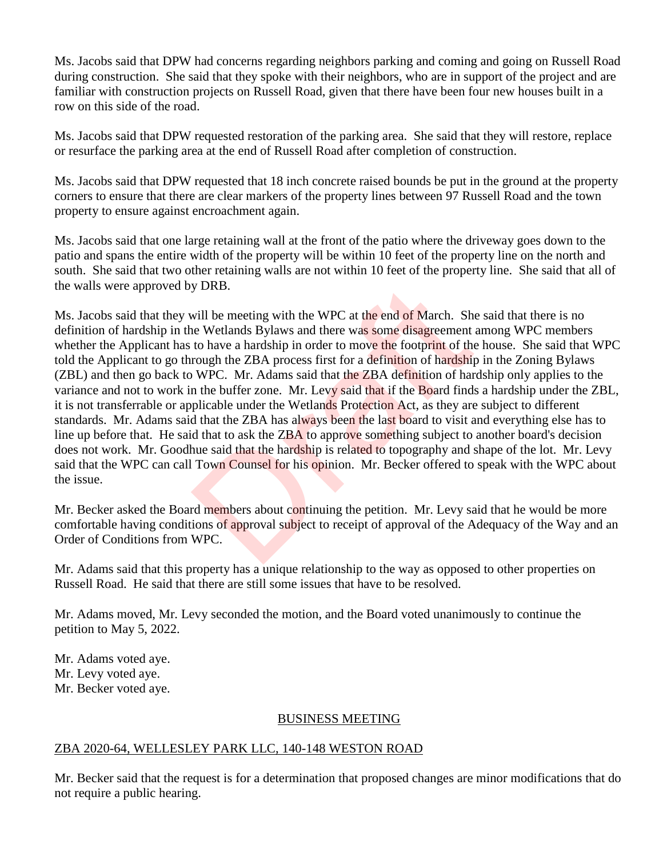Ms. Jacobs said that DPW had concerns regarding neighbors parking and coming and going on Russell Road during construction. She said that they spoke with their neighbors, who are in support of the project and are familiar with construction projects on Russell Road, given that there have been four new houses built in a row on this side of the road.

Ms. Jacobs said that DPW requested restoration of the parking area. She said that they will restore, replace or resurface the parking area at the end of Russell Road after completion of construction.

Ms. Jacobs said that DPW requested that 18 inch concrete raised bounds be put in the ground at the property corners to ensure that there are clear markers of the property lines between 97 Russell Road and the town property to ensure against encroachment again.

Ms. Jacobs said that one large retaining wall at the front of the patio where the driveway goes down to the patio and spans the entire width of the property will be within 10 feet of the property line on the north and south. She said that two other retaining walls are not within 10 feet of the property line. She said that all of the walls were approved by DRB.

Ms. Jacobs said that they will be meeting with the WPC at the end of March. She said that there is no definition of hardship in the Wetlands Bylaws and there was some disagreement among WPC members whether the Applicant has to have a hardship in order to move the footprint of the house. She said that WPC told the Applicant to go through the ZBA process first for a definition of hardship in the Zoning Bylaws (ZBL) and then go back to WPC. Mr. Adams said that the ZBA definition of hardship only applies to the variance and not to work in the buffer zone. Mr. Levy said that if the Board finds a hardship under the ZBL, it is not transferrable or applicable under the Wetlands Protection Act, as they are subject to different standards. Mr. Adams said that the ZBA has always been the last board to visit and everything else has to line up before that. He said that to ask the ZBA to approve something subject to another board's decision does not work. Mr. Goodhue said that the hardship is related to topography and shape of the lot. Mr. Levy said that the WPC can call Town Counsel for his opinion. Mr. Becker offered to speak with the WPC about the issue. y DRB.<br>
will be meeting with the WPC at the end of March. She<br>
we Wetlands Bylaws and there was some disagreement<br>
to have a hardship in order to move the footprint of the<br>
rough the ZBA process first for a definition of h

Mr. Becker asked the Board members about continuing the petition. Mr. Levy said that he would be more comfortable having conditions of approval subject to receipt of approval of the Adequacy of the Way and an Order of Conditions from WPC.

Mr. Adams said that this property has a unique relationship to the way as opposed to other properties on Russell Road. He said that there are still some issues that have to be resolved.

Mr. Adams moved, Mr. Levy seconded the motion, and the Board voted unanimously to continue the petition to May 5, 2022.

Mr. Adams voted aye. Mr. Levy voted aye. Mr. Becker voted aye.

## BUSINESS MEETING

## ZBA 2020-64, WELLESLEY PARK LLC, 140-148 WESTON ROAD

Mr. Becker said that the request is for a determination that proposed changes are minor modifications that do not require a public hearing.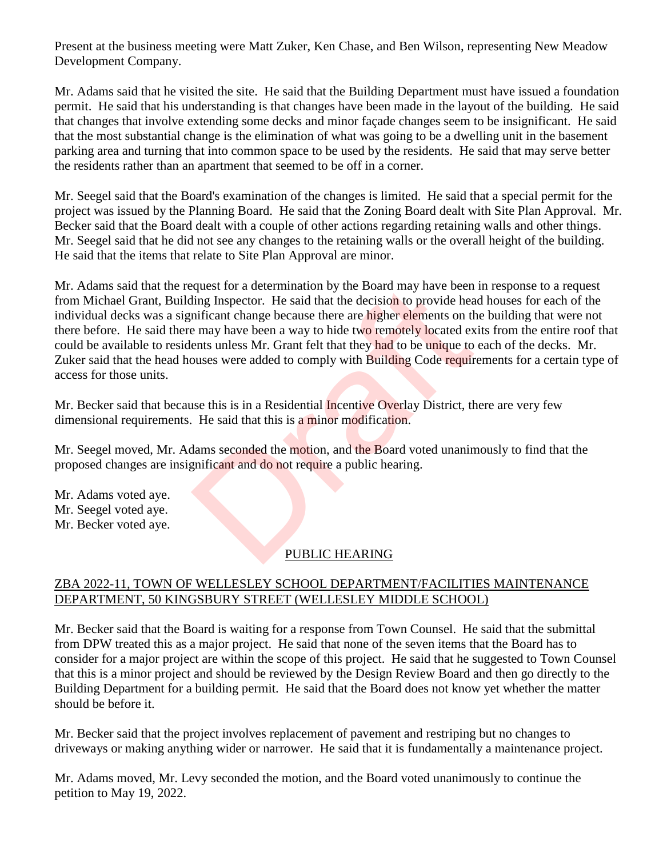Present at the business meeting were Matt Zuker, Ken Chase, and Ben Wilson, representing New Meadow Development Company.

Mr. Adams said that he visited the site. He said that the Building Department must have issued a foundation permit. He said that his understanding is that changes have been made in the layout of the building. He said that changes that involve extending some decks and minor façade changes seem to be insignificant. He said that the most substantial change is the elimination of what was going to be a dwelling unit in the basement parking area and turning that into common space to be used by the residents. He said that may serve better the residents rather than an apartment that seemed to be off in a corner.

Mr. Seegel said that the Board's examination of the changes is limited. He said that a special permit for the project was issued by the Planning Board. He said that the Zoning Board dealt with Site Plan Approval. Mr. Becker said that the Board dealt with a couple of other actions regarding retaining walls and other things. Mr. Seegel said that he did not see any changes to the retaining walls or the overall height of the building. He said that the items that relate to Site Plan Approval are minor.

Mr. Adams said that the request for a determination by the Board may have been in response to a request from Michael Grant, Building Inspector. He said that the decision to provide head houses for each of the individual decks was a significant change because there are higher elements on the building that were not there before. He said there may have been a way to hide two remotely located exits from the entire roof that could be available to residents unless Mr. Grant felt that they had to be unique to each of the decks. Mr. Zuker said that the head houses were added to comply with Building Code requirements for a certain type of access for those units. examples to a determination by the Board may have been<br>ting Inspector. He said that the decision to provide hear<br>inficant change because there are higher elements on the<br>may have been a way to hide two remotely located ex<br>

Mr. Becker said that because this is in a Residential Incentive Overlay District, there are very few dimensional requirements. He said that this is a minor modification.

Mr. Seegel moved, Mr. Adams seconded the motion, and the Board voted unanimously to find that the proposed changes are insignificant and do not require a public hearing.

Mr. Adams voted aye. Mr. Seegel voted aye. Mr. Becker voted aye.

# PUBLIC HEARING

## ZBA 2022-11, TOWN OF WELLESLEY SCHOOL DEPARTMENT/FACILITIES MAINTENANCE DEPARTMENT, 50 KINGSBURY STREET (WELLESLEY MIDDLE SCHOOL)

Mr. Becker said that the Board is waiting for a response from Town Counsel. He said that the submittal from DPW treated this as a major project. He said that none of the seven items that the Board has to consider for a major project are within the scope of this project. He said that he suggested to Town Counsel that this is a minor project and should be reviewed by the Design Review Board and then go directly to the Building Department for a building permit. He said that the Board does not know yet whether the matter should be before it.

Mr. Becker said that the project involves replacement of pavement and restriping but no changes to driveways or making anything wider or narrower. He said that it is fundamentally a maintenance project.

Mr. Adams moved, Mr. Levy seconded the motion, and the Board voted unanimously to continue the petition to May 19, 2022.